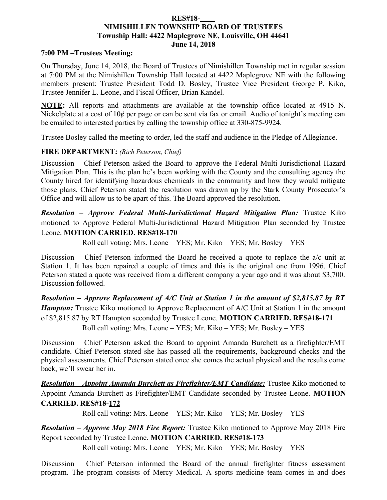#### **RES#18-\_\_\_\_ NIMISHILLEN TOWNSHIP BOARD OF TRUSTEES Township Hall: 4422 Maplegrove NE, Louisville, OH 44641 June 14, 2018**

#### **7:00 PM –Trustees Meeting:**

On Thursday, June 14, 2018, the Board of Trustees of Nimishillen Township met in regular session at 7:00 PM at the Nimishillen Township Hall located at 4422 Maplegrove NE with the following members present: Trustee President Todd D. Bosley, Trustee Vice President George P. Kiko, Trustee Jennifer L. Leone, and Fiscal Officer, Brian Kandel.

**NOTE:** All reports and attachments are available at the township office located at 4915 N. Nickelplate at a cost of 10¢ per page or can be sent via fax or email. Audio of tonight's meeting can be emailed to interested parties by calling the township office at 330-875-9924.

Trustee Bosley called the meeting to order, led the staff and audience in the Pledge of Allegiance.

### **FIRE DEPARTMENT:** *(Rich Peterson, Chief)*

Discussion – Chief Peterson asked the Board to approve the Federal Multi-Jurisdictional Hazard Mitigation Plan. This is the plan he's been working with the County and the consulting agency the County hired for identifying hazardous chemicals in the community and how they would mitigate those plans. Chief Peterson stated the resolution was drawn up by the Stark County Prosecutor's Office and will allow us to be apart of this. The Board approved the resolution.

*Resolution – Approve Federal Multi-Jurisdictional Hazard Mitigation Plan:* Trustee Kiko motioned to Approve Federal Multi-Jurisdictional Hazard Mitigation Plan seconded by Trustee Leone. **MOTION CARRIED. RES#18-170**

Roll call voting: Mrs. Leone – YES; Mr. Kiko – YES; Mr. Bosley – YES

Discussion – Chief Peterson informed the Board he received a quote to replace the a/c unit at Station 1. It has been repaired a couple of times and this is the original one from 1996. Chief Peterson stated a quote was received from a different company a year ago and it was about \$3,700. Discussion followed.

*Resolution – Approve Replacement of A/C Unit at Station 1 in the amount of \$2,815.87 by RT Hampton:* Trustee Kiko motioned to Approve Replacement of A/C Unit at Station 1 in the amount of \$2,815.87 by RT Hampton seconded by Trustee Leone. **MOTION CARRIED. RES#18-171** Roll call voting: Mrs. Leone – YES; Mr. Kiko – YES; Mr. Bosley – YES

Discussion – Chief Peterson asked the Board to appoint Amanda Burchett as a firefighter/EMT candidate. Chief Peterson stated she has passed all the requirements, background checks and the physical assessments. Chief Peterson stated once she comes the actual physical and the results come back, we'll swear her in.

*Resolution – Appoint Amanda Burchett as Firefighter/EMT Candidate:* Trustee Kiko motioned to Appoint Amanda Burchett as Firefighter/EMT Candidate seconded by Trustee Leone. **MOTION CARRIED. RES#18-172**

Roll call voting: Mrs. Leone – YES; Mr. Kiko – YES; Mr. Bosley – YES

*Resolution – Approve May 2018 Fire Report:* Trustee Kiko motioned to Approve May 2018 Fire Report seconded by Trustee Leone. **MOTION CARRIED. RES#18-173**

Roll call voting: Mrs. Leone – YES; Mr. Kiko – YES; Mr. Bosley – YES

Discussion – Chief Peterson informed the Board of the annual firefighter fitness assessment program. The program consists of Mercy Medical. A sports medicine team comes in and does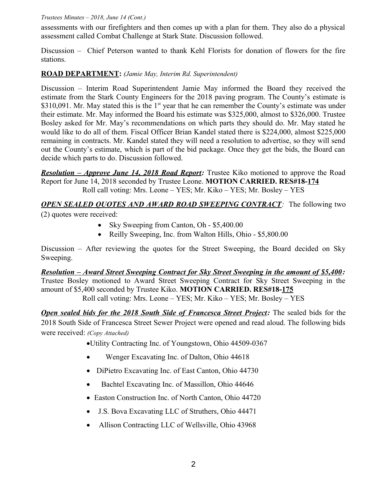assessments with our firefighters and then comes up with a plan for them. They also do a physical assessment called Combat Challenge at Stark State. Discussion followed.

Discussion – Chief Peterson wanted to thank Kehl Florists for donation of flowers for the fire stations.

### **ROAD DEPARTMENT:** *(Jamie May, Interim Rd. Superintendent)*

Discussion – Interim Road Superintendent Jamie May informed the Board they received the estimate from the Stark County Engineers for the 2018 paving program. The County's estimate is  $$310,091$ . Mr. May stated this is the 1<sup>st</sup> year that he can remember the County's estimate was under their estimate. Mr. May informed the Board his estimate was \$325,000, almost to \$326,000. Trustee Bosley asked for Mr. May's recommendations on which parts they should do. Mr. May stated he would like to do all of them. Fiscal Officer Brian Kandel stated there is \$224,000, almost \$225,000 remaining in contracts. Mr. Kandel stated they will need a resolution to advertise, so they will send out the County's estimate, which is part of the bid package. Once they get the bids, the Board can decide which parts to do. Discussion followed.

*Resolution – Approve June 14, 2018 Road Report:* Trustee Kiko motioned to approve the Road Report for June 14, 2018 seconded by Trustee Leone. **MOTION CARRIED. RES#18-174** Roll call voting: Mrs. Leone – YES; Mr. Kiko – YES; Mr. Bosley – YES

# *OPEN SEALED QUOTES AND AWARD ROAD SWEEPING CONTRACT:* The following two (2) quotes were received:

- Sky Sweeping from Canton, Oh \$5,400.00
- Reilly Sweeping, Inc. from Walton Hills, Ohio \$5,800.00

Discussion – After reviewing the quotes for the Street Sweeping, the Board decided on Sky Sweeping.

*Resolution – Award Street Sweeping Contract for Sky Street Sweeping in the amount of \$5,400:* Trustee Bosley motioned to Award Street Sweeping Contract for Sky Street Sweeping in the amount of \$5,400 seconded by Trustee Kiko. **MOTION CARRIED. RES#18-175** Roll call voting: Mrs. Leone – YES; Mr. Kiko – YES; Mr. Bosley – YES

**Open sealed bids for the 2018 South Side of Francesca Street Project:** The sealed bids for the 2018 South Side of Francesca Street Sewer Project were opened and read aloud. The following bids were received: *(Copy Attached)*

Utility Contracting Inc. of Youngstown, Ohio 44509-0367

- Wenger Excavating Inc. of Dalton, Ohio 44618
- DiPietro Excavating Inc. of East Canton, Ohio 44730
- Bachtel Excavating Inc. of Massillon, Ohio 44646
- Easton Construction Inc. of North Canton, Ohio 44720
- J.S. Bova Excavating LLC of Struthers, Ohio 44471
- Allison Contracting LLC of Wellsville, Ohio 43968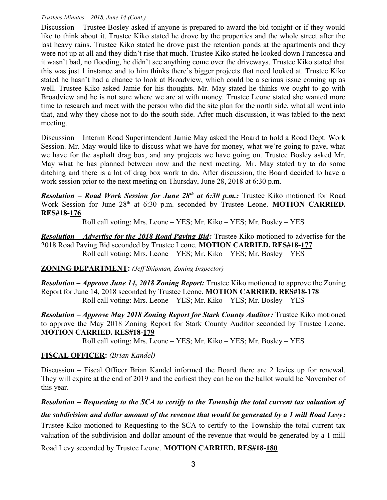Discussion – Trustee Bosley asked if anyone is prepared to award the bid tonight or if they would like to think about it. Trustee Kiko stated he drove by the properties and the whole street after the last heavy rains. Trustee Kiko stated he drove past the retention ponds at the apartments and they were not up at all and they didn't rise that much. Trustee Kiko stated he looked down Francesca and it wasn't bad, no flooding, he didn't see anything come over the driveways. Trustee Kiko stated that this was just 1 instance and to him thinks there's bigger projects that need looked at. Trustee Kiko stated he hasn't had a chance to look at Broadview, which could be a serious issue coming up as well. Trustee Kiko asked Jamie for his thoughts. Mr. May stated he thinks we ought to go with Broadview and he is not sure where we are at with money. Trustee Leone stated she wanted more time to research and meet with the person who did the site plan for the north side, what all went into that, and why they chose not to do the south side. After much discussion, it was tabled to the next meeting.

Discussion – Interim Road Superintendent Jamie May asked the Board to hold a Road Dept. Work Session. Mr. May would like to discuss what we have for money, what we're going to pave, what we have for the asphalt drag box, and any projects we have going on. Trustee Bosley asked Mr. May what he has planned between now and the next meeting. Mr. May stated try to do some ditching and there is a lot of drag box work to do. After discussion, the Board decided to have a work session prior to the next meeting on Thursday, June 28, 2018 at 6:30 p.m.

**Resolution – Road Work Session for June 28<sup>th</sup> at 6:30 p.m.:** Trustee Kiko motioned for Road Work Session for June 28<sup>th</sup> at 6:30 p.m. seconded by Trustee Leone. **MOTION CARRIED. RES#18-176**

Roll call voting: Mrs. Leone – YES; Mr. Kiko – YES; Mr. Bosley – YES

*Resolution – Advertise for the 2018 Road Paving Bid:* Trustee Kiko motioned to advertise for the 2018 Road Paving Bid seconded by Trustee Leone. **MOTION CARRIED. RES#18-177** Roll call voting: Mrs. Leone – YES; Mr. Kiko – YES; Mr. Bosley – YES

# **ZONING DEPARTMENT:** *(Jeff Shipman, Zoning Inspector)*

*Resolution – Approve June 14, 2018 Zoning Report:* Trustee Kiko motioned to approve the Zoning Report for June 14, 2018 seconded by Trustee Leone. **MOTION CARRIED. RES#18-178** Roll call voting: Mrs. Leone – YES; Mr. Kiko – YES; Mr. Bosley – YES

*Resolution – Approve May 2018 Zoning Report for Stark County Auditor:* Trustee Kiko motioned to approve the May 2018 Zoning Report for Stark County Auditor seconded by Trustee Leone. **MOTION CARRIED. RES#18-179**

Roll call voting: Mrs. Leone – YES; Mr. Kiko – YES; Mr. Bosley – YES

# **FISCAL OFFICER:** *(Brian Kandel)*

Discussion – Fiscal Officer Brian Kandel informed the Board there are 2 levies up for renewal. They will expire at the end of 2019 and the earliest they can be on the ballot would be November of this year.

# *Resolution – Requesting to the SCA to certify to the Township the total current tax valuation of*

# *the subdivision and dollar amount of the revenue that would be generated by a 1 mill Road Levy :*

Trustee Kiko motioned to Requesting to the SCA to certify to the Township the total current tax valuation of the subdivision and dollar amount of the revenue that would be generated by a 1 mill

Road Levy seconded by Trustee Leone. **MOTION CARRIED. RES#18-180**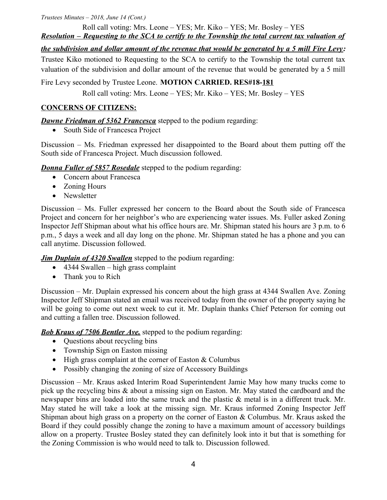Roll call voting: Mrs. Leone – YES; Mr. Kiko – YES; Mr. Bosley – YES *Resolution – Requesting to the SCA to certify to the Township the total current tax valuation of*

*the subdivision and dollar amount of the revenue that would be generated by a 5 mill Fire Levy:*

Trustee Kiko motioned to Requesting to the SCA to certify to the Township the total current tax valuation of the subdivision and dollar amount of the revenue that would be generated by a 5 mill

Fire Levy seconded by Trustee Leone. **MOTION CARRIED. RES#18-181**

Roll call voting: Mrs. Leone – YES; Mr. Kiko – YES; Mr. Bosley – YES

# **CONCERNS OF CITIZENS:**

*Dawne Friedman of 5362 Francesca* stepped to the podium regarding:

• South Side of Francesca Project

Discussion – Ms. Friedman expressed her disappointed to the Board about them putting off the South side of Francesca Project. Much discussion followed.

*Donna Fuller of 5857 Rosedale* stepped to the podium regarding:

- Concern about Francesca
- Zoning Hours
- Newsletter

Discussion – Ms. Fuller expressed her concern to the Board about the South side of Francesca Project and concern for her neighbor's who are experiencing water issues. Ms. Fuller asked Zoning Inspector Jeff Shipman about what his office hours are. Mr. Shipman stated his hours are 3 p.m. to 6 p.m., 5 days a week and all day long on the phone. Mr. Shipman stated he has a phone and you can call anytime. Discussion followed.

*Jim Duplain of 4320 Swallen* stepped to the podium regarding:

- $\bullet$  4344 Swallen high grass complaint
- Thank you to Rich

Discussion – Mr. Duplain expressed his concern about the high grass at 4344 Swallen Ave. Zoning Inspector Jeff Shipman stated an email was received today from the owner of the property saying he will be going to come out next week to cut it. Mr. Duplain thanks Chief Peterson for coming out and cutting a fallen tree. Discussion followed.

**Bob Kraus of 7506 Bentler Ave.** stepped to the podium regarding:

- Questions about recycling bins
- Township Sign on Easton missing
- $\bullet$  High grass complaint at the corner of Easton & Columbus
- Possibly changing the zoning of size of Accessory Buildings

Discussion – Mr. Kraus asked Interim Road Superintendent Jamie May how many trucks come to pick up the recycling bins & about a missing sign on Easton. Mr. May stated the cardboard and the newspaper bins are loaded into the same truck and the plastic & metal is in a different truck. Mr. May stated he will take a look at the missing sign. Mr. Kraus informed Zoning Inspector Jeff Shipman about high grass on a property on the corner of Easton  $&$  Columbus. Mr. Kraus asked the Board if they could possibly change the zoning to have a maximum amount of accessory buildings allow on a property. Trustee Bosley stated they can definitely look into it but that is something for the Zoning Commission is who would need to talk to. Discussion followed.